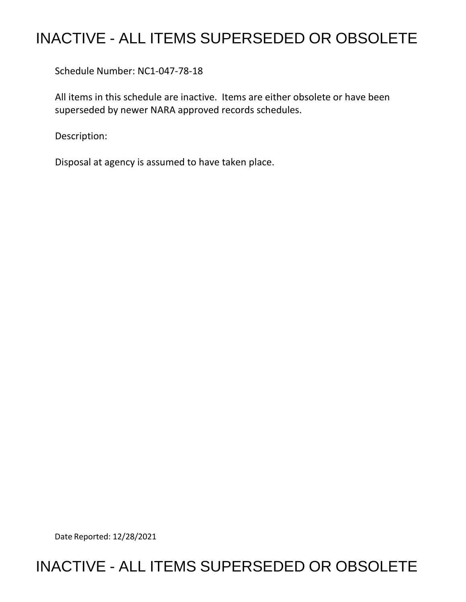## INACTIVE - ALL ITEMS SUPERSEDED OR OBSOLETE

Schedule Number: NC1-047-78-18

 All items in this schedule are inactive. Items are either obsolete or have been superseded by newer NARA approved records schedules.

Description:

Disposal at agency is assumed to have taken place.

Date Reported: 12/28/2021

## INACTIVE - ALL ITEMS SUPERSEDED OR OBSOLETE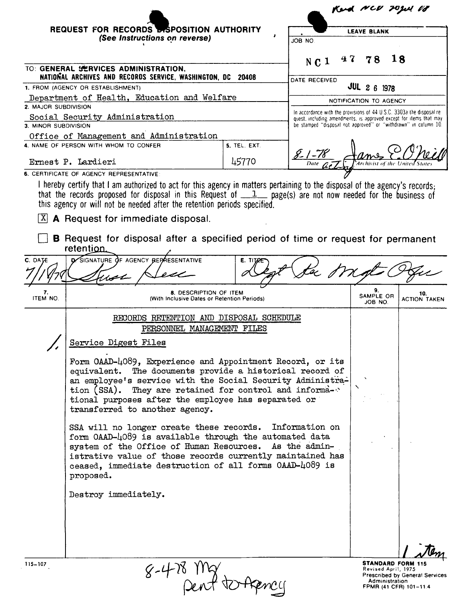| REQUEST FOR RECORDS <b>BISPOSITION AUTHORITY</b><br>(See Instructions on reverse)<br>TO: GENERAL SERVICES ADMINISTRATION,<br>NATIONAL ARCHIVES AND RECORDS SERVICE, WASHINGTON, DC 20408<br>1. FROM (AGENCY OR ESTABLISHMENT)<br>Department of Health, Education and Welfare<br>2. MAJOR SUBDIVISION<br>Social Security Administration<br>3. MINOR SUBDIVISION<br>Office of Management and Administration<br>4. NAME OF PERSON WITH WHOM TO CONFER<br>5. TEL. EXT.<br>45770<br>Ernest P. Lardieri<br>6. CERTIFICATE OF AGENCY REPRESENTATIVE<br>I hereby certify that I am authorized to act for this agency in matters pertaining to the disposal of the agency's records:<br>that the records proposed for disposal in this Request of $1$ page(s) are not now needed for the business of<br>this agency or will not be needed after the retention periods specified.<br>A Request for immediate disposal.<br><b>B</b> Request for disposal after a specified period of time or request for permanent<br>retention<br>D. SIGNATURE OF AGENCY BEPAESENTATIVE<br>C. DATE<br>E. TITAR<br><b>8. DESCRIPTION OF ITEM</b><br>7.<br>ITEM NO.<br>(With Inclusive Dates or Retention Periods)<br>RECORDS RETENTION AND DISPOSAL SCHEDULE<br>PERSONNEL MANAGEMENT FILES<br>Service Digest Files<br>Form OAAD-4089, Experience and Appointment Record, or its<br>equivalent. The documents provide a historical record of<br>an employee's service with the Social Security Administra-<br>tion (SSA).<br>They are retained for control and informa-<br>tional purposes after the employee has separated or<br>transferred to another agency.<br>SSA will no longer create these records.<br>form OAAD-4089 is available through the automated data<br>system of the Office of Human Resources. As the admin-<br>istrative value of those records currently maintained has<br>ceased, immediate destruction of all forms OAAD-4089 is<br>proposed. |                        |                   | Kend NCU TOJUL V8                     |                                                                                                                                       |  |
|-------------------------------------------------------------------------------------------------------------------------------------------------------------------------------------------------------------------------------------------------------------------------------------------------------------------------------------------------------------------------------------------------------------------------------------------------------------------------------------------------------------------------------------------------------------------------------------------------------------------------------------------------------------------------------------------------------------------------------------------------------------------------------------------------------------------------------------------------------------------------------------------------------------------------------------------------------------------------------------------------------------------------------------------------------------------------------------------------------------------------------------------------------------------------------------------------------------------------------------------------------------------------------------------------------------------------------------------------------------------------------------------------------------------------------------------------------------------------------------------------------------------------------------------------------------------------------------------------------------------------------------------------------------------------------------------------------------------------------------------------------------------------------------------------------------------------------------------------------------------------------------------------------------------------------------------|------------------------|-------------------|---------------------------------------|---------------------------------------------------------------------------------------------------------------------------------------|--|
|                                                                                                                                                                                                                                                                                                                                                                                                                                                                                                                                                                                                                                                                                                                                                                                                                                                                                                                                                                                                                                                                                                                                                                                                                                                                                                                                                                                                                                                                                                                                                                                                                                                                                                                                                                                                                                                                                                                                           | <b>LEAVE BLANK</b>     |                   |                                       |                                                                                                                                       |  |
|                                                                                                                                                                                                                                                                                                                                                                                                                                                                                                                                                                                                                                                                                                                                                                                                                                                                                                                                                                                                                                                                                                                                                                                                                                                                                                                                                                                                                                                                                                                                                                                                                                                                                                                                                                                                                                                                                                                                           | ON BOL                 |                   |                                       |                                                                                                                                       |  |
|                                                                                                                                                                                                                                                                                                                                                                                                                                                                                                                                                                                                                                                                                                                                                                                                                                                                                                                                                                                                                                                                                                                                                                                                                                                                                                                                                                                                                                                                                                                                                                                                                                                                                                                                                                                                                                                                                                                                           | N C 1                  | 47                | 78                                    | 18                                                                                                                                    |  |
|                                                                                                                                                                                                                                                                                                                                                                                                                                                                                                                                                                                                                                                                                                                                                                                                                                                                                                                                                                                                                                                                                                                                                                                                                                                                                                                                                                                                                                                                                                                                                                                                                                                                                                                                                                                                                                                                                                                                           | DATE RECEIVED          |                   |                                       |                                                                                                                                       |  |
|                                                                                                                                                                                                                                                                                                                                                                                                                                                                                                                                                                                                                                                                                                                                                                                                                                                                                                                                                                                                                                                                                                                                                                                                                                                                                                                                                                                                                                                                                                                                                                                                                                                                                                                                                                                                                                                                                                                                           |                        |                   | <b>JUL 2 6 1978</b>                   |                                                                                                                                       |  |
|                                                                                                                                                                                                                                                                                                                                                                                                                                                                                                                                                                                                                                                                                                                                                                                                                                                                                                                                                                                                                                                                                                                                                                                                                                                                                                                                                                                                                                                                                                                                                                                                                                                                                                                                                                                                                                                                                                                                           | NOTIFICATION TO AGENCY |                   |                                       |                                                                                                                                       |  |
|                                                                                                                                                                                                                                                                                                                                                                                                                                                                                                                                                                                                                                                                                                                                                                                                                                                                                                                                                                                                                                                                                                                                                                                                                                                                                                                                                                                                                                                                                                                                                                                                                                                                                                                                                                                                                                                                                                                                           |                        |                   |                                       | In accordance with the provisions of 44 U.S.C. 3303a the disposal re-                                                                 |  |
|                                                                                                                                                                                                                                                                                                                                                                                                                                                                                                                                                                                                                                                                                                                                                                                                                                                                                                                                                                                                                                                                                                                                                                                                                                                                                                                                                                                                                                                                                                                                                                                                                                                                                                                                                                                                                                                                                                                                           |                        |                   |                                       | quest, including amendments, is approved except for items that may<br>be stamped "disposal not approved" or "withdrawn" in column 10. |  |
|                                                                                                                                                                                                                                                                                                                                                                                                                                                                                                                                                                                                                                                                                                                                                                                                                                                                                                                                                                                                                                                                                                                                                                                                                                                                                                                                                                                                                                                                                                                                                                                                                                                                                                                                                                                                                                                                                                                                           |                        |                   |                                       |                                                                                                                                       |  |
|                                                                                                                                                                                                                                                                                                                                                                                                                                                                                                                                                                                                                                                                                                                                                                                                                                                                                                                                                                                                                                                                                                                                                                                                                                                                                                                                                                                                                                                                                                                                                                                                                                                                                                                                                                                                                                                                                                                                           |                        |                   |                                       |                                                                                                                                       |  |
|                                                                                                                                                                                                                                                                                                                                                                                                                                                                                                                                                                                                                                                                                                                                                                                                                                                                                                                                                                                                                                                                                                                                                                                                                                                                                                                                                                                                                                                                                                                                                                                                                                                                                                                                                                                                                                                                                                                                           | $8 - 1 - 78$           |                   |                                       |                                                                                                                                       |  |
|                                                                                                                                                                                                                                                                                                                                                                                                                                                                                                                                                                                                                                                                                                                                                                                                                                                                                                                                                                                                                                                                                                                                                                                                                                                                                                                                                                                                                                                                                                                                                                                                                                                                                                                                                                                                                                                                                                                                           |                        |                   |                                       |                                                                                                                                       |  |
|                                                                                                                                                                                                                                                                                                                                                                                                                                                                                                                                                                                                                                                                                                                                                                                                                                                                                                                                                                                                                                                                                                                                                                                                                                                                                                                                                                                                                                                                                                                                                                                                                                                                                                                                                                                                                                                                                                                                           |                        |                   |                                       |                                                                                                                                       |  |
|                                                                                                                                                                                                                                                                                                                                                                                                                                                                                                                                                                                                                                                                                                                                                                                                                                                                                                                                                                                                                                                                                                                                                                                                                                                                                                                                                                                                                                                                                                                                                                                                                                                                                                                                                                                                                                                                                                                                           |                        |                   |                                       |                                                                                                                                       |  |
|                                                                                                                                                                                                                                                                                                                                                                                                                                                                                                                                                                                                                                                                                                                                                                                                                                                                                                                                                                                                                                                                                                                                                                                                                                                                                                                                                                                                                                                                                                                                                                                                                                                                                                                                                                                                                                                                                                                                           |                        | $\sqrt{1/\gamma}$ |                                       |                                                                                                                                       |  |
|                                                                                                                                                                                                                                                                                                                                                                                                                                                                                                                                                                                                                                                                                                                                                                                                                                                                                                                                                                                                                                                                                                                                                                                                                                                                                                                                                                                                                                                                                                                                                                                                                                                                                                                                                                                                                                                                                                                                           |                        |                   | 9.<br>SAMPLE OR<br>JOB NO.            | 10.<br><b>ACTION TAKEN</b>                                                                                                            |  |
|                                                                                                                                                                                                                                                                                                                                                                                                                                                                                                                                                                                                                                                                                                                                                                                                                                                                                                                                                                                                                                                                                                                                                                                                                                                                                                                                                                                                                                                                                                                                                                                                                                                                                                                                                                                                                                                                                                                                           |                        |                   |                                       |                                                                                                                                       |  |
|                                                                                                                                                                                                                                                                                                                                                                                                                                                                                                                                                                                                                                                                                                                                                                                                                                                                                                                                                                                                                                                                                                                                                                                                                                                                                                                                                                                                                                                                                                                                                                                                                                                                                                                                                                                                                                                                                                                                           |                        |                   |                                       |                                                                                                                                       |  |
|                                                                                                                                                                                                                                                                                                                                                                                                                                                                                                                                                                                                                                                                                                                                                                                                                                                                                                                                                                                                                                                                                                                                                                                                                                                                                                                                                                                                                                                                                                                                                                                                                                                                                                                                                                                                                                                                                                                                           |                        |                   |                                       |                                                                                                                                       |  |
| Destroy immediately.                                                                                                                                                                                                                                                                                                                                                                                                                                                                                                                                                                                                                                                                                                                                                                                                                                                                                                                                                                                                                                                                                                                                                                                                                                                                                                                                                                                                                                                                                                                                                                                                                                                                                                                                                                                                                                                                                                                      | Information on         |                   |                                       |                                                                                                                                       |  |
| $115 - 107$<br>8-478 Yrg<br>Dent to Agency                                                                                                                                                                                                                                                                                                                                                                                                                                                                                                                                                                                                                                                                                                                                                                                                                                                                                                                                                                                                                                                                                                                                                                                                                                                                                                                                                                                                                                                                                                                                                                                                                                                                                                                                                                                                                                                                                                |                        |                   | Revised April, 1975<br>Administration | <b>STANDARD FORM 115</b><br><b>Prescribed by General Services</b>                                                                     |  |